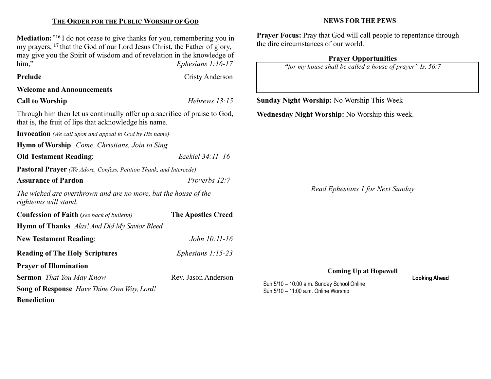#### THE ORDER FOR THE PUBLIC WORSHIP OF GOD

Mediation: "<sup>16</sup> I do not cease to give thanks for you, remembering you in my prayers, <sup>17</sup> that the God of our Lord Jesus Christ, the Father of glory, may give you the Spirit of wisdom and of revelation in the knowledge of him," Ephesians 1:16-17

Prelude Cristy Anderson

### Welcome and Announcements

Call to Worship Hebrews 13:15

Through him then let us continually offer up a sacrifice of praise to God, that is, the fruit of lips that acknowledge his name.

Invocation (We call upon and appeal to God by His name)

Hymn of Worship Come, Christians, Join to Sing

Old Testament Reading: Ezekiel 34:11-16

Pastoral Prayer (We Adore, Confess, Petition Thank, and Intercede)

Assurance of Pardon **Proverbs 12:7** 

The wicked are overthrown and are no more, but the house of the righteous will stand.

Confession of Faith (see back of bulletin) The Apostles Creed Hymn of Thanks Alas! And Did My Savior Bleed New Testament Reading: John 10:11-16 Reading of The Holy Scriptures *Ephesians 1:15-23* Prayer of Illumination Sermon That You May Know Rev. Jason Anderson

Song of Response Have Thine Own Way, Lord! **Benediction** 

#### NEWS FOR THE PEWS

Prayer Focus: Pray that God will call people to repentance through the dire circumstances of our world.

#### Prayer Opportunities

"for my house shall be called a house of prayer" Is. 56:7

Sunday Night Worship: No Worship This Week

Wednesday Night Worship: No Worship this week.

Read Ephesians 1 for Next Sunday

Coming Up at Hopewell

Sun 5/10 – 10:00 a.m. Sunday School Online Sun 5/10 – 11:00 a.m. Online Worship

Looking Ahead